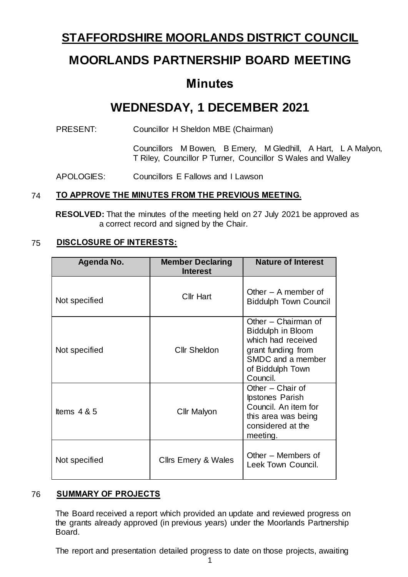## **STAFFORDSHIRE MOORLANDS DISTRICT COUNCIL**

# **MOORLANDS PARTNERSHIP BOARD MEETING**

## **Minutes**

# **WEDNESDAY, 1 DECEMBER 2021**

PRESENT: Councillor H Sheldon MBE (Chairman)

Councillors M Bowen, B Emery, M Gledhill, A Hart, L A Malyon, T Riley, Councillor P Turner, Councillor S Wales and Walley

APOLOGIES: Councillors E Fallows and I Lawson

## 74 **TO APPROVE THE MINUTES FROM THE PREVIOUS MEETING.**

**RESOLVED:** That the minutes of the meeting held on 27 July 2021 be approved as a correct record and signed by the Chair.

## 75 **DISCLOSURE OF INTERESTS:**

| Agenda No.    | <b>Member Declaring</b><br><b>Interest</b> | <b>Nature of Interest</b>                                                                                                                        |
|---------------|--------------------------------------------|--------------------------------------------------------------------------------------------------------------------------------------------------|
| Not specified | <b>Cllr Hart</b>                           | Other $-$ A member of<br><b>Biddulph Town Council</b>                                                                                            |
| Not specified | <b>Cllr Sheldon</b>                        | Other - Chairman of<br><b>Biddulph in Bloom</b><br>which had received<br>grant funding from<br>SMDC and a member<br>of Biddulph Town<br>Council. |
| Items $4 & 5$ | Cllr Malyon                                | Other - Chair of<br><b>Ipstones Parish</b><br>Council. An item for<br>this area was being<br>considered at the<br>meeting.                       |
| Not specified | <b>Cllrs Emery &amp; Wales</b>             | Other – Members of<br>Leek Town Council.                                                                                                         |

## 76 **SUMMARY OF PROJECTS**

The Board received a report which provided an update and reviewed progress on the grants already approved (in previous years) under the Moorlands Partnership Board.

The report and presentation detailed progress to date on those projects, awaiting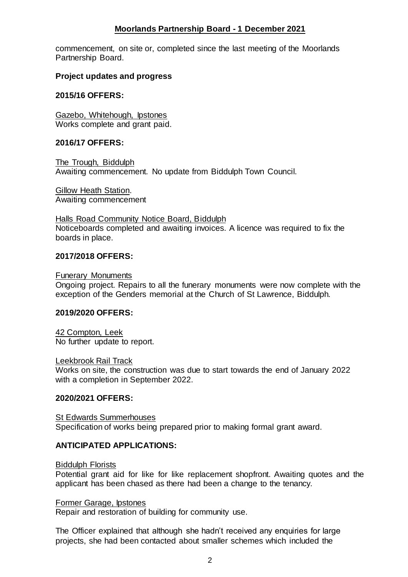### **Moorlands Partnership Board - 1 December 2021**

commencement, on site or, completed since the last meeting of the Moorlands Partnership Board.

#### **Project updates and progress**

#### **2015/16 OFFERS:**

Gazebo, Whitehough, Ipstones Works complete and grant paid.

#### **2016/17 OFFERS:**

The Trough, Biddulph Awaiting commencement. No update from Biddulph Town Council.

Gillow Heath Station. Awaiting commencement

Halls Road Community Notice Board, Biddulph Noticeboards completed and awaiting invoices. A licence was required to fix the boards in place.

#### **2017/2018 OFFERS:**

Funerary Monuments

Ongoing project. Repairs to all the funerary monuments were now complete with the exception of the Genders memorial at the Church of St Lawrence, Biddulph.

#### **2019/2020 OFFERS:**

42 Compton, Leek No further update to report.

Leekbrook Rail Track

Works on site, the construction was due to start towards the end of January 2022 with a completion in September 2022.

#### **2020/2021 OFFERS:**

St Edwards Summerhouses Specification of works being prepared prior to making formal grant award.

#### **ANTICIPATED APPLICATIONS:**

Biddulph Florists

Potential grant aid for like for like replacement shopfront. Awaiting quotes and the applicant has been chased as there had been a change to the tenancy.

#### Former Garage, Ipstones

Repair and restoration of building for community use.

The Officer explained that although she hadn't received any enquiries for large projects, she had been contacted about smaller schemes which included the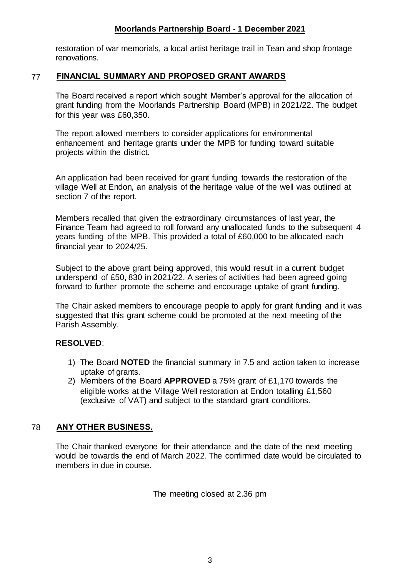### **Moorlands Partnership Board - 1 December 2021**

restoration of war memorials, a local artist heritage trail in Tean and shop frontage renovations.

#### 77 **FINANCIAL SUMMARY AND PROPOSED GRANT AWARDS**

The Board received a report which sought Member's approval for the allocation of grant funding from the Moorlands Partnership Board (MPB) in 2021/22. The budget for this year was £60,350.

The report allowed members to consider applications for environmental enhancement and heritage grants under the MPB for funding toward suitable projects within the district.

An application had been received for grant funding towards the restoration of the village Well at Endon, an analysis of the heritage value of the well was outlined at section 7 of the report.

Members recalled that given the extraordinary circumstances of last year, the Finance Team had agreed to roll forward any unallocated funds to the subsequent 4 years funding of the MPB. This provided a total of £60,000 to be allocated each financial year to 2024/25.

Subject to the above grant being approved, this would result in a current budget underspend of £50, 830 in 2021/22. A series of activities had been agreed going forward to further promote the scheme and encourage uptake of grant funding.

The Chair asked members to encourage people to apply for grant funding and it was suggested that this grant scheme could be promoted at the next meeting of the Parish Assembly.

#### **RESOLVED**:

- 1) The Board **NOTED** the financial summary in 7.5 and action taken to increase uptake of grants.
- 2) Members of the Board **APPROVED** a 75% grant of £1,170 towards the eligible works at the Village Well restoration at Endon totalling £1,560 (exclusive of VAT) and subject to the standard grant conditions.

## 78 **ANY OTHER BUSINESS.**

The Chair thanked everyone for their attendance and the date of the next meeting would be towards the end of March 2022. The confirmed date would be circulated to members in due in course.

The meeting closed at 2.36 pm